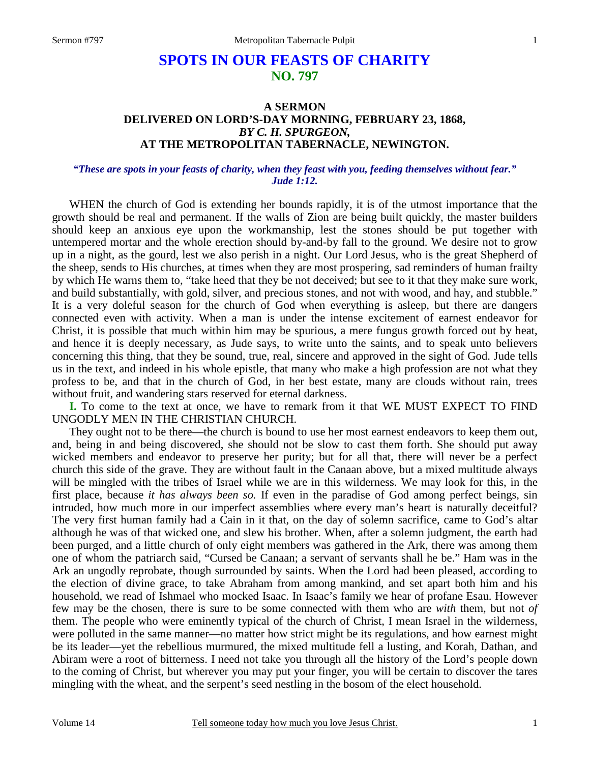# **SPOTS IN OUR FEASTS OF CHARITY NO. 797**

#### **A SERMON DELIVERED ON LORD'S-DAY MORNING, FEBRUARY 23, 1868,** *BY C. H. SPURGEON,*  **AT THE METROPOLITAN TABERNACLE, NEWINGTON.**

#### *"These are spots in your feasts of charity, when they feast with you, feeding themselves without fear." Jude 1:12.*

WHEN the church of God is extending her bounds rapidly, it is of the utmost importance that the growth should be real and permanent. If the walls of Zion are being built quickly, the master builders should keep an anxious eye upon the workmanship, lest the stones should be put together with untempered mortar and the whole erection should by-and-by fall to the ground. We desire not to grow up in a night, as the gourd, lest we also perish in a night. Our Lord Jesus, who is the great Shepherd of the sheep, sends to His churches, at times when they are most prospering, sad reminders of human frailty by which He warns them to, "take heed that they be not deceived; but see to it that they make sure work, and build substantially, with gold, silver, and precious stones, and not with wood, and hay, and stubble." It is a very doleful season for the church of God when everything is asleep, but there are dangers connected even with activity. When a man is under the intense excitement of earnest endeavor for Christ, it is possible that much within him may be spurious, a mere fungus growth forced out by heat, and hence it is deeply necessary, as Jude says, to write unto the saints, and to speak unto believers concerning this thing, that they be sound, true, real, sincere and approved in the sight of God. Jude tells us in the text, and indeed in his whole epistle, that many who make a high profession are not what they profess to be, and that in the church of God, in her best estate, many are clouds without rain, trees without fruit, and wandering stars reserved for eternal darkness.

**I.** To come to the text at once, we have to remark from it that WE MUST EXPECT TO FIND UNGODLY MEN IN THE CHRISTIAN CHURCH.

They ought not to be there—the church is bound to use her most earnest endeavors to keep them out, and, being in and being discovered, she should not be slow to cast them forth. She should put away wicked members and endeavor to preserve her purity; but for all that, there will never be a perfect church this side of the grave. They are without fault in the Canaan above, but a mixed multitude always will be mingled with the tribes of Israel while we are in this wilderness. We may look for this, in the first place, because *it has always been so.* If even in the paradise of God among perfect beings, sin intruded, how much more in our imperfect assemblies where every man's heart is naturally deceitful? The very first human family had a Cain in it that, on the day of solemn sacrifice, came to God's altar although he was of that wicked one, and slew his brother. When, after a solemn judgment, the earth had been purged, and a little church of only eight members was gathered in the Ark, there was among them one of whom the patriarch said, "Cursed be Canaan; a servant of servants shall he be." Ham was in the Ark an ungodly reprobate, though surrounded by saints. When the Lord had been pleased, according to the election of divine grace, to take Abraham from among mankind, and set apart both him and his household, we read of Ishmael who mocked Isaac. In Isaac's family we hear of profane Esau. However few may be the chosen, there is sure to be some connected with them who are *with* them, but not *of* them. The people who were eminently typical of the church of Christ, I mean Israel in the wilderness, were polluted in the same manner—no matter how strict might be its regulations, and how earnest might be its leader—yet the rebellious murmured, the mixed multitude fell a lusting, and Korah, Dathan, and Abiram were a root of bitterness. I need not take you through all the history of the Lord's people down to the coming of Christ, but wherever you may put your finger, you will be certain to discover the tares mingling with the wheat, and the serpent's seed nestling in the bosom of the elect household.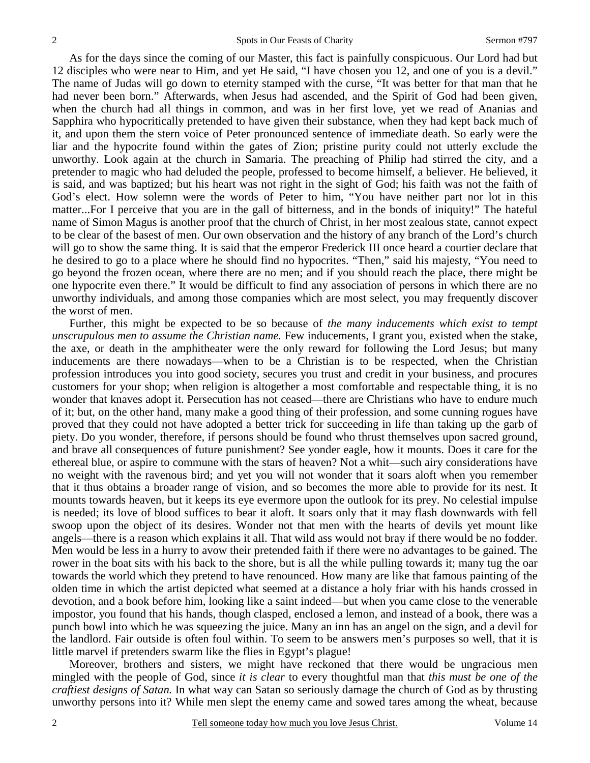As for the days since the coming of our Master, this fact is painfully conspicuous. Our Lord had but 12 disciples who were near to Him, and yet He said, "I have chosen you 12, and one of you is a devil." The name of Judas will go down to eternity stamped with the curse, "It was better for that man that he had never been born." Afterwards, when Jesus had ascended, and the Spirit of God had been given, when the church had all things in common, and was in her first love, yet we read of Ananias and Sapphira who hypocritically pretended to have given their substance, when they had kept back much of it, and upon them the stern voice of Peter pronounced sentence of immediate death. So early were the liar and the hypocrite found within the gates of Zion; pristine purity could not utterly exclude the unworthy. Look again at the church in Samaria. The preaching of Philip had stirred the city, and a pretender to magic who had deluded the people, professed to become himself, a believer. He believed, it is said, and was baptized; but his heart was not right in the sight of God; his faith was not the faith of God's elect. How solemn were the words of Peter to him, "You have neither part nor lot in this matter...For I perceive that you are in the gall of bitterness, and in the bonds of iniquity!" The hateful name of Simon Magus is another proof that the church of Christ, in her most zealous state, cannot expect to be clear of the basest of men. Our own observation and the history of any branch of the Lord's church will go to show the same thing. It is said that the emperor Frederick III once heard a courtier declare that he desired to go to a place where he should find no hypocrites. "Then," said his majesty, "You need to go beyond the frozen ocean, where there are no men; and if you should reach the place, there might be one hypocrite even there." It would be difficult to find any association of persons in which there are no unworthy individuals, and among those companies which are most select, you may frequently discover the worst of men.

Further, this might be expected to be so because of *the many inducements which exist to tempt unscrupulous men to assume the Christian name.* Few inducements, I grant you, existed when the stake, the axe, or death in the amphitheater were the only reward for following the Lord Jesus; but many inducements are there nowadays—when to be a Christian is to be respected, when the Christian profession introduces you into good society, secures you trust and credit in your business, and procures customers for your shop; when religion is altogether a most comfortable and respectable thing, it is no wonder that knaves adopt it. Persecution has not ceased—there are Christians who have to endure much of it; but, on the other hand, many make a good thing of their profession, and some cunning rogues have proved that they could not have adopted a better trick for succeeding in life than taking up the garb of piety. Do you wonder, therefore, if persons should be found who thrust themselves upon sacred ground, and brave all consequences of future punishment? See yonder eagle, how it mounts. Does it care for the ethereal blue, or aspire to commune with the stars of heaven? Not a whit—such airy considerations have no weight with the ravenous bird; and yet you will not wonder that it soars aloft when you remember that it thus obtains a broader range of vision, and so becomes the more able to provide for its nest. It mounts towards heaven, but it keeps its eye evermore upon the outlook for its prey. No celestial impulse is needed; its love of blood suffices to bear it aloft. It soars only that it may flash downwards with fell swoop upon the object of its desires. Wonder not that men with the hearts of devils yet mount like angels—there is a reason which explains it all. That wild ass would not bray if there would be no fodder. Men would be less in a hurry to avow their pretended faith if there were no advantages to be gained. The rower in the boat sits with his back to the shore, but is all the while pulling towards it; many tug the oar towards the world which they pretend to have renounced. How many are like that famous painting of the olden time in which the artist depicted what seemed at a distance a holy friar with his hands crossed in devotion, and a book before him, looking like a saint indeed—but when you came close to the venerable impostor, you found that his hands, though clasped, enclosed a lemon, and instead of a book, there was a punch bowl into which he was squeezing the juice. Many an inn has an angel on the sign, and a devil for the landlord. Fair outside is often foul within. To seem to be answers men's purposes so well, that it is little marvel if pretenders swarm like the flies in Egypt's plague!

Moreover, brothers and sisters, we might have reckoned that there would be ungracious men mingled with the people of God, since *it is clear* to every thoughtful man that *this must be one of the craftiest designs of Satan.* In what way can Satan so seriously damage the church of God as by thrusting unworthy persons into it? While men slept the enemy came and sowed tares among the wheat, because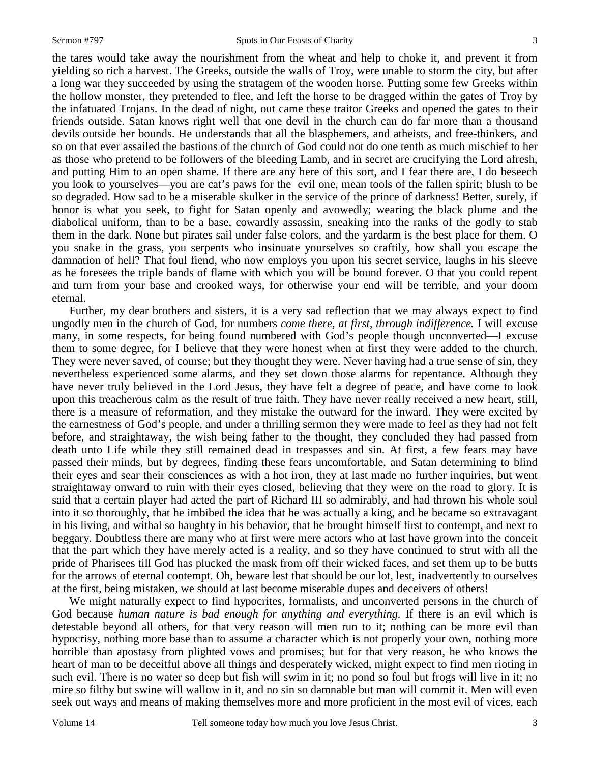the tares would take away the nourishment from the wheat and help to choke it, and prevent it from yielding so rich a harvest. The Greeks, outside the walls of Troy, were unable to storm the city, but after a long war they succeeded by using the stratagem of the wooden horse. Putting some few Greeks within the hollow monster, they pretended to flee, and left the horse to be dragged within the gates of Troy by the infatuated Trojans. In the dead of night, out came these traitor Greeks and opened the gates to their friends outside. Satan knows right well that one devil in the church can do far more than a thousand devils outside her bounds. He understands that all the blasphemers, and atheists, and free-thinkers, and so on that ever assailed the bastions of the church of God could not do one tenth as much mischief to her as those who pretend to be followers of the bleeding Lamb, and in secret are crucifying the Lord afresh, and putting Him to an open shame. If there are any here of this sort, and I fear there are, I do beseech you look to yourselves—you are cat's paws for the evil one, mean tools of the fallen spirit; blush to be so degraded. How sad to be a miserable skulker in the service of the prince of darkness! Better, surely, if honor is what you seek, to fight for Satan openly and avowedly; wearing the black plume and the diabolical uniform, than to be a base, cowardly assassin, sneaking into the ranks of the godly to stab them in the dark. None but pirates sail under false colors, and the yardarm is the best place for them. O you snake in the grass, you serpents who insinuate yourselves so craftily, how shall you escape the damnation of hell? That foul fiend, who now employs you upon his secret service, laughs in his sleeve as he foresees the triple bands of flame with which you will be bound forever. O that you could repent and turn from your base and crooked ways, for otherwise your end will be terrible, and your doom eternal.

Further, my dear brothers and sisters, it is a very sad reflection that we may always expect to find ungodly men in the church of God, for numbers *come there, at first, through indifference.* I will excuse many, in some respects, for being found numbered with God's people though unconverted—I excuse them to some degree, for I believe that they were honest when at first they were added to the church. They were never saved, of course; but they thought they were. Never having had a true sense of sin, they nevertheless experienced some alarms, and they set down those alarms for repentance. Although they have never truly believed in the Lord Jesus, they have felt a degree of peace, and have come to look upon this treacherous calm as the result of true faith. They have never really received a new heart, still, there is a measure of reformation, and they mistake the outward for the inward. They were excited by the earnestness of God's people, and under a thrilling sermon they were made to feel as they had not felt before, and straightaway, the wish being father to the thought*,* they concluded they had passed from death unto Life while they still remained dead in trespasses and sin. At first, a few fears may have passed their minds, but by degrees, finding these fears uncomfortable, and Satan determining to blind their eyes and sear their consciences as with a hot iron, they at last made no further inquiries, but went straightaway onward to ruin with their eyes closed, believing that they were on the road to glory. It is said that a certain player had acted the part of Richard III so admirably, and had thrown his whole soul into it so thoroughly, that he imbibed the idea that he was actually a king, and he became so extravagant in his living, and withal so haughty in his behavior, that he brought himself first to contempt, and next to beggary. Doubtless there are many who at first were mere actors who at last have grown into the conceit that the part which they have merely acted is a reality, and so they have continued to strut with all the pride of Pharisees till God has plucked the mask from off their wicked faces, and set them up to be butts for the arrows of eternal contempt. Oh, beware lest that should be our lot, lest, inadvertently to ourselves at the first, being mistaken, we should at last become miserable dupes and deceivers of others!

We might naturally expect to find hypocrites, formalists, and unconverted persons in the church of God because *human nature is bad enough for anything and everything.* If there is an evil which is detestable beyond all others, for that very reason will men run to it; nothing can be more evil than hypocrisy, nothing more base than to assume a character which is not properly your own, nothing more horrible than apostasy from plighted vows and promises; but for that very reason, he who knows the heart of man to be deceitful above all things and desperately wicked, might expect to find men rioting in such evil. There is no water so deep but fish will swim in it; no pond so foul but frogs will live in it; no mire so filthy but swine will wallow in it, and no sin so damnable but man will commit it. Men will even seek out ways and means of making themselves more and more proficient in the most evil of vices, each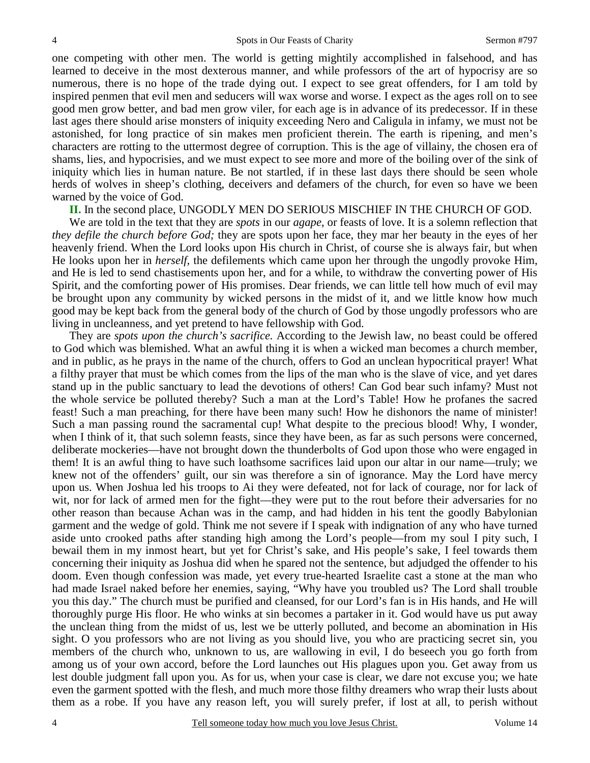one competing with other men. The world is getting mightily accomplished in falsehood, and has learned to deceive in the most dexterous manner, and while professors of the art of hypocrisy are so numerous, there is no hope of the trade dying out. I expect to see great offenders, for I am told by inspired penmen that evil men and seducers will wax worse and worse. I expect as the ages roll on to see good men grow better, and bad men grow viler, for each age is in advance of its predecessor. If in these last ages there should arise monsters of iniquity exceeding Nero and Caligula in infamy, we must not be astonished, for long practice of sin makes men proficient therein. The earth is ripening, and men's characters are rotting to the uttermost degree of corruption. This is the age of villainy, the chosen era of shams, lies, and hypocrisies, and we must expect to see more and more of the boiling over of the sink of iniquity which lies in human nature. Be not startled, if in these last days there should be seen whole herds of wolves in sheep's clothing, deceivers and defamers of the church, for even so have we been warned by the voice of God.

**II.** In the second place, UNGODLY MEN DO SERIOUS MISCHIEF IN THE CHURCH OF GOD.

We are told in the text that they are *spots* in our *agape*, or feasts of love. It is a solemn reflection that *they defile the church before God;* they are spots upon her face, they mar her beauty in the eyes of her heavenly friend. When the Lord looks upon His church in Christ, of course she is always fair, but when He looks upon her in *herself,* the defilements which came upon her through the ungodly provoke Him, and He is led to send chastisements upon her, and for a while, to withdraw the converting power of His Spirit, and the comforting power of His promises. Dear friends, we can little tell how much of evil may be brought upon any community by wicked persons in the midst of it, and we little know how much good may be kept back from the general body of the church of God by those ungodly professors who are living in uncleanness, and yet pretend to have fellowship with God.

They are *spots upon the church's sacrifice.* According to the Jewish law, no beast could be offered to God which was blemished. What an awful thing it is when a wicked man becomes a church member, and in public, as he prays in the name of the church, offers to God an unclean hypocritical prayer! What a filthy prayer that must be which comes from the lips of the man who is the slave of vice, and yet dares stand up in the public sanctuary to lead the devotions of others! Can God bear such infamy? Must not the whole service be polluted thereby? Such a man at the Lord's Table! How he profanes the sacred feast! Such a man preaching, for there have been many such! How he dishonors the name of minister! Such a man passing round the sacramental cup! What despite to the precious blood! Why, I wonder, when I think of it, that such solemn feasts, since they have been, as far as such persons were concerned, deliberate mockeries—have not brought down the thunderbolts of God upon those who were engaged in them! It is an awful thing to have such loathsome sacrifices laid upon our altar in our name—truly; we knew not of the offenders' guilt, our sin was therefore a sin of ignorance. May the Lord have mercy upon us. When Joshua led his troops to Ai they were defeated, not for lack of courage, nor for lack of wit, nor for lack of armed men for the fight—they were put to the rout before their adversaries for no other reason than because Achan was in the camp, and had hidden in his tent the goodly Babylonian garment and the wedge of gold. Think me not severe if I speak with indignation of any who have turned aside unto crooked paths after standing high among the Lord's people—from my soul I pity such, I bewail them in my inmost heart, but yet for Christ's sake, and His people's sake, I feel towards them concerning their iniquity as Joshua did when he spared not the sentence, but adjudged the offender to his doom. Even though confession was made, yet every true-hearted Israelite cast a stone at the man who had made Israel naked before her enemies, saying, "Why have you troubled us? The Lord shall trouble you this day." The church must be purified and cleansed, for our Lord's fan is in His hands, and He will thoroughly purge His floor. He who winks at sin becomes a partaker in it. God would have us put away the unclean thing from the midst of us, lest we be utterly polluted, and become an abomination in His sight. O you professors who are not living as you should live, you who are practicing secret sin, you members of the church who, unknown to us, are wallowing in evil, I do beseech you go forth from among us of your own accord, before the Lord launches out His plagues upon you. Get away from us lest double judgment fall upon you. As for us, when your case is clear, we dare not excuse you; we hate even the garment spotted with the flesh, and much more those filthy dreamers who wrap their lusts about them as a robe. If you have any reason left, you will surely prefer, if lost at all, to perish without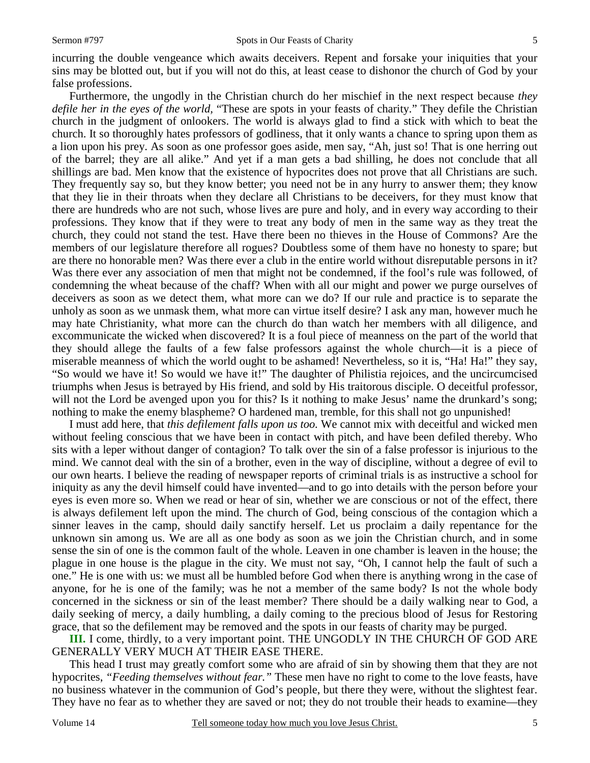incurring the double vengeance which awaits deceivers. Repent and forsake your iniquities that your sins may be blotted out, but if you will not do this, at least cease to dishonor the church of God by your false professions.

Furthermore, the ungodly in the Christian church do her mischief in the next respect because *they defile her in the eyes of the world,* "These are spots in your feasts of charity." They defile the Christian church in the judgment of onlookers. The world is always glad to find a stick with which to beat the church. It so thoroughly hates professors of godliness, that it only wants a chance to spring upon them as a lion upon his prey. As soon as one professor goes aside, men say, "Ah, just so! That is one herring out of the barrel; they are all alike." And yet if a man gets a bad shilling, he does not conclude that all shillings are bad. Men know that the existence of hypocrites does not prove that all Christians are such. They frequently say so, but they know better; you need not be in any hurry to answer them; they know that they lie in their throats when they declare all Christians to be deceivers, for they must know that there are hundreds who are not such, whose lives are pure and holy, and in every way according to their professions. They know that if they were to treat any body of men in the same way as they treat the church, they could not stand the test. Have there been no thieves in the House of Commons? Are the members of our legislature therefore all rogues? Doubtless some of them have no honesty to spare; but are there no honorable men? Was there ever a club in the entire world without disreputable persons in it? Was there ever any association of men that might not be condemned, if the fool's rule was followed, of condemning the wheat because of the chaff? When with all our might and power we purge ourselves of deceivers as soon as we detect them, what more can we do? If our rule and practice is to separate the unholy as soon as we unmask them, what more can virtue itself desire? I ask any man, however much he may hate Christianity, what more can the church do than watch her members with all diligence, and excommunicate the wicked when discovered? It is a foul piece of meanness on the part of the world that they should allege the faults of a few false professors against the whole church—it is a piece of miserable meanness of which the world ought to be ashamed! Nevertheless, so it is, "Ha! Ha!" they say, "So would we have it! So would we have it!" The daughter of Philistia rejoices, and the uncircumcised triumphs when Jesus is betrayed by His friend, and sold by His traitorous disciple. O deceitful professor, will not the Lord be avenged upon you for this? Is it nothing to make Jesus' name the drunkard's song; nothing to make the enemy blaspheme? O hardened man, tremble, for this shall not go unpunished!

I must add here, that *this defilement falls upon us too.* We cannot mix with deceitful and wicked men without feeling conscious that we have been in contact with pitch, and have been defiled thereby. Who sits with a leper without danger of contagion? To talk over the sin of a false professor is injurious to the mind. We cannot deal with the sin of a brother, even in the way of discipline, without a degree of evil to our own hearts. I believe the reading of newspaper reports of criminal trials is as instructive a school for iniquity as any the devil himself could have invented—and to go into details with the person before your eyes is even more so. When we read or hear of sin, whether we are conscious or not of the effect, there is always defilement left upon the mind. The church of God, being conscious of the contagion which a sinner leaves in the camp, should daily sanctify herself. Let us proclaim a daily repentance for the unknown sin among us. We are all as one body as soon as we join the Christian church, and in some sense the sin of one is the common fault of the whole. Leaven in one chamber is leaven in the house; the plague in one house is the plague in the city. We must not say, "Oh, I cannot help the fault of such a one." He is one with us: we must all be humbled before God when there is anything wrong in the case of anyone, for he is one of the family; was he not a member of the same body? Is not the whole body concerned in the sickness or sin of the least member? There should be a daily walking near to God, a daily seeking of mercy, a daily humbling, a daily coming to the precious blood of Jesus for Restoring grace, that so the defilement may be removed and the spots in our feasts of charity may be purged.

**III.** I come, thirdly, to a very important point. THE UNGODLY IN THE CHURCH OF GOD ARE GENERALLY VERY MUCH AT THEIR EASE THERE.

This head I trust may greatly comfort some who are afraid of sin by showing them that they are not hypocrites, *"Feeding themselves without fear."* These men have no right to come to the love feasts, have no business whatever in the communion of God's people, but there they were, without the slightest fear. They have no fear as to whether they are saved or not; they do not trouble their heads to examine—they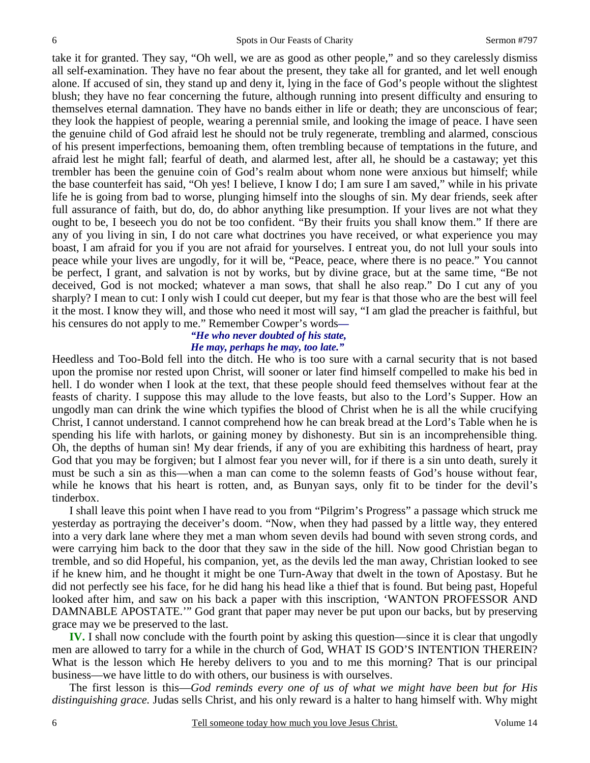take it for granted. They say, "Oh well, we are as good as other people," and so they carelessly dismiss all self-examination. They have no fear about the present, they take all for granted, and let well enough alone. If accused of sin, they stand up and deny it, lying in the face of God's people without the slightest blush; they have no fear concerning the future, although running into present difficulty and ensuring to themselves eternal damnation. They have no bands either in life or death; they are unconscious of fear; they look the happiest of people, wearing a perennial smile, and looking the image of peace. I have seen the genuine child of God afraid lest he should not be truly regenerate, trembling and alarmed, conscious of his present imperfections, bemoaning them, often trembling because of temptations in the future, and afraid lest he might fall; fearful of death, and alarmed lest, after all, he should be a castaway; yet this trembler has been the genuine coin of God's realm about whom none were anxious but himself; while the base counterfeit has said, "Oh yes! I believe, I know I do; I am sure I am saved," while in his private life he is going from bad to worse, plunging himself into the sloughs of sin. My dear friends, seek after full assurance of faith, but do, do, do abhor anything like presumption. If your lives are not what they ought to be, I beseech you do not be too confident. "By their fruits you shall know them." If there are any of you living in sin, I do not care what doctrines you have received, or what experience you may boast, I am afraid for you if you are not afraid for yourselves. I entreat you, do not lull your souls into peace while your lives are ungodly, for it will be, "Peace, peace, where there is no peace." You cannot be perfect, I grant, and salvation is not by works, but by divine grace, but at the same time, "Be not deceived, God is not mocked; whatever a man sows, that shall he also reap." Do I cut any of you sharply? I mean to cut: I only wish I could cut deeper, but my fear is that those who are the best will feel it the most. I know they will, and those who need it most will say, "I am glad the preacher is faithful, but his censures do not apply to me." Remember Cowper's words*—* 

## *"He who never doubted of his state, He may, perhaps he may, too late."*

Heedless and Too-Bold fell into the ditch. He who is too sure with a carnal security that is not based upon the promise nor rested upon Christ, will sooner or later find himself compelled to make his bed in hell. I do wonder when I look at the text, that these people should feed themselves without fear at the feasts of charity. I suppose this may allude to the love feasts, but also to the Lord's Supper. How an ungodly man can drink the wine which typifies the blood of Christ when he is all the while crucifying Christ, I cannot understand. I cannot comprehend how he can break bread at the Lord's Table when he is spending his life with harlots, or gaining money by dishonesty. But sin is an incomprehensible thing. Oh, the depths of human sin! My dear friends, if any of you are exhibiting this hardness of heart, pray God that you may be forgiven; but I almost fear you never will, for if there is a sin unto death, surely it must be such a sin as this—when a man can come to the solemn feasts of God's house without fear, while he knows that his heart is rotten, and, as Bunyan says, only fit to be tinder for the devil's tinderbox.

I shall leave this point when I have read to you from "Pilgrim's Progress" a passage which struck me yesterday as portraying the deceiver's doom. "Now, when they had passed by a little way, they entered into a very dark lane where they met a man whom seven devils had bound with seven strong cords, and were carrying him back to the door that they saw in the side of the hill. Now good Christian began to tremble, and so did Hopeful, his companion, yet, as the devils led the man away, Christian looked to see if he knew him, and he thought it might be one Turn-Away that dwelt in the town of Apostasy. But he did not perfectly see his face, for he did hang his head like a thief that is found. But being past, Hopeful looked after him, and saw on his back a paper with this inscription, 'WANTON PROFESSOR AND DAMNABLE APOSTATE.'" God grant that paper may never be put upon our backs, but by preserving grace may we be preserved to the last.

**IV.** I shall now conclude with the fourth point by asking this question—since it is clear that ungodly men are allowed to tarry for a while in the church of God, WHAT IS GOD'S INTENTION THEREIN? What is the lesson which He hereby delivers to you and to me this morning? That is our principal business—we have little to do with others, our business is with ourselves.

The first lesson is this—*God reminds every one of us of what we might have been but for His distinguishing grace.* Judas sells Christ, and his only reward is a halter to hang himself with. Why might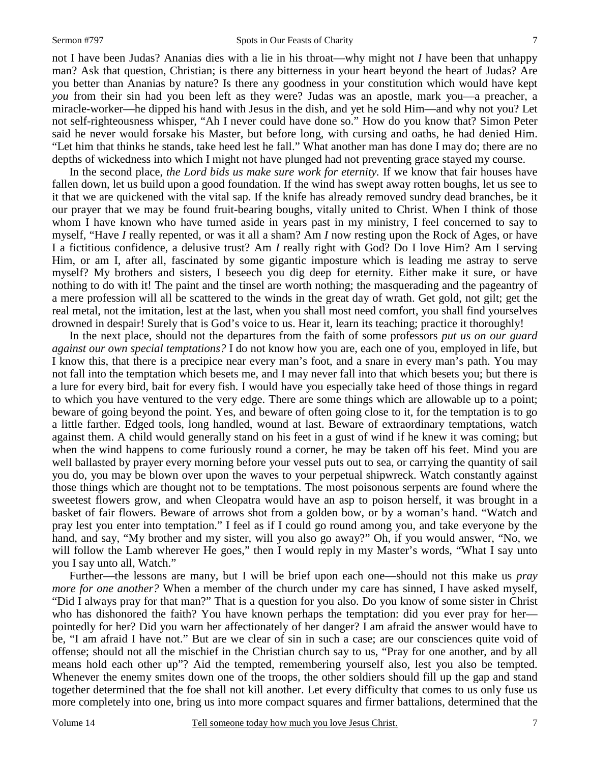not I have been Judas? Ananias dies with a lie in his throat—why might not *I* have been that unhappy man? Ask that question, Christian; is there any bitterness in your heart beyond the heart of Judas? Are you better than Ananias by nature? Is there any goodness in your constitution which would have kept *you* from their sin had you been left as they were? Judas was an apostle, mark you—a preacher, a miracle-worker—he dipped his hand with Jesus in the dish, and yet he sold Him—and why not you? Let not self-righteousness whisper, "Ah I never could have done so." How do you know that? Simon Peter said he never would forsake his Master, but before long, with cursing and oaths, he had denied Him. "Let him that thinks he stands, take heed lest he fall." What another man has done I may do; there are no depths of wickedness into which I might not have plunged had not preventing grace stayed my course.

In the second place, *the Lord bids us make sure work for eternity.* If we know that fair houses have fallen down, let us build upon a good foundation. If the wind has swept away rotten boughs, let us see to it that we are quickened with the vital sap. If the knife has already removed sundry dead branches, be it our prayer that we may be found fruit-bearing boughs, vitally united to Christ. When I think of those whom I have known who have turned aside in years past in my ministry, I feel concerned to say to myself, "Have *I* really repented, or was it all a sham? Am *I* now resting upon the Rock of Ages, or have I a fictitious confidence, a delusive trust? Am *I* really right with God? Do I love Him? Am I serving Him, or am I, after all, fascinated by some gigantic imposture which is leading me astray to serve myself? My brothers and sisters, I beseech you dig deep for eternity. Either make it sure, or have nothing to do with it! The paint and the tinsel are worth nothing; the masquerading and the pageantry of a mere profession will all be scattered to the winds in the great day of wrath. Get gold, not gilt; get the real metal, not the imitation, lest at the last, when you shall most need comfort, you shall find yourselves drowned in despair! Surely that is God's voice to us. Hear it, learn its teaching; practice it thoroughly!

In the next place, should not the departures from the faith of some professors *put us on our guard against our own special temptations?* I do not know how you are, each one of you, employed in life, but I know this, that there is a precipice near every man's foot, and a snare in every man's path. You may not fall into the temptation which besets me, and I may never fall into that which besets you; but there is a lure for every bird, bait for every fish. I would have you especially take heed of those things in regard to which you have ventured to the very edge. There are some things which are allowable up to a point; beware of going beyond the point. Yes, and beware of often going close to it, for the temptation is to go a little farther. Edged tools, long handled, wound at last. Beware of extraordinary temptations, watch against them. A child would generally stand on his feet in a gust of wind if he knew it was coming; but when the wind happens to come furiously round a corner, he may be taken off his feet. Mind you are well ballasted by prayer every morning before your vessel puts out to sea, or carrying the quantity of sail you do, you may be blown over upon the waves to your perpetual shipwreck. Watch constantly against those things which are thought not to be temptations. The most poisonous serpents are found where the sweetest flowers grow, and when Cleopatra would have an asp to poison herself, it was brought in a basket of fair flowers. Beware of arrows shot from a golden bow, or by a woman's hand. "Watch and pray lest you enter into temptation." I feel as if I could go round among you, and take everyone by the hand, and say, "My brother and my sister, will you also go away?" Oh, if you would answer, "No, we will follow the Lamb wherever He goes," then I would reply in my Master's words, "What I say unto you I say unto all, Watch."

Further—the lessons are many, but I will be brief upon each one—should not this make us *pray more for one another?* When a member of the church under my care has sinned, I have asked myself, "Did I always pray for that man?" That is a question for you also. Do you know of some sister in Christ who has dishonored the faith? You have known perhaps the temptation: did you ever pray for her pointedly for her? Did you warn her affectionately of her danger? I am afraid the answer would have to be, "I am afraid I have not." But are we clear of sin in such a case; are our consciences quite void of offense; should not all the mischief in the Christian church say to us, "Pray for one another, and by all means hold each other up"? Aid the tempted, remembering yourself also, lest you also be tempted. Whenever the enemy smites down one of the troops, the other soldiers should fill up the gap and stand together determined that the foe shall not kill another. Let every difficulty that comes to us only fuse us more completely into one, bring us into more compact squares and firmer battalions, determined that the